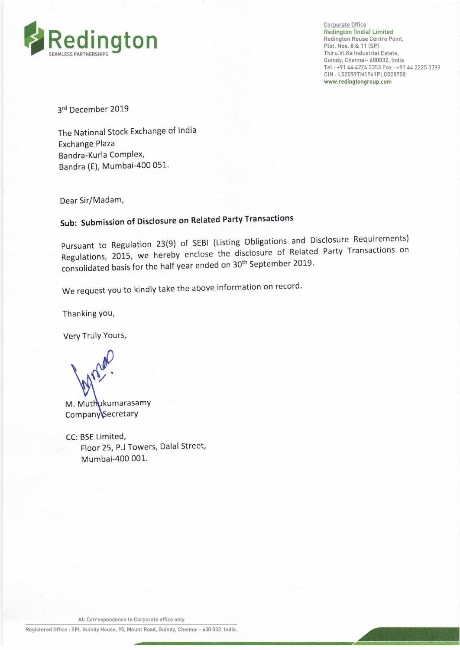

Corporate Office Thiru.Vi.Ka Industrial Estate, Guindy, Chennai- 600032, India Tel : +91 44 4224 3353 Fax : +91 44 2225 3799 CIN : L52599TN1961PLC028758 www.redingtongroup.com

3<sup>rd</sup> December 2019

The National Stock Exchange of India Exchange Plaza Bandra-Kurla Complex, Bandra (E), Mumbai-400 051.

Dear Sir/Madam,

# Sub: Submission of Disclosure on Related Party Transactions

Pursuant to Regulation 23(9) of SEBI (Listing Obligations and Disclosure Requirements) Regulations, 2015, we hereby enclose the disclosure of Related Party Transactions on consolidated basis for the half year ended on 30<sup>th</sup> September 2019.

We request you to kindly take the above information on record.

Thanking you,

Very Truly Yours,

uv

M. Muthukumarasamy Company\Secretary

CC: BSE Limited, Floor 25, P.J Towers, Dalal Street, Mumbai-400 001.

All Correspondence to Corporate office only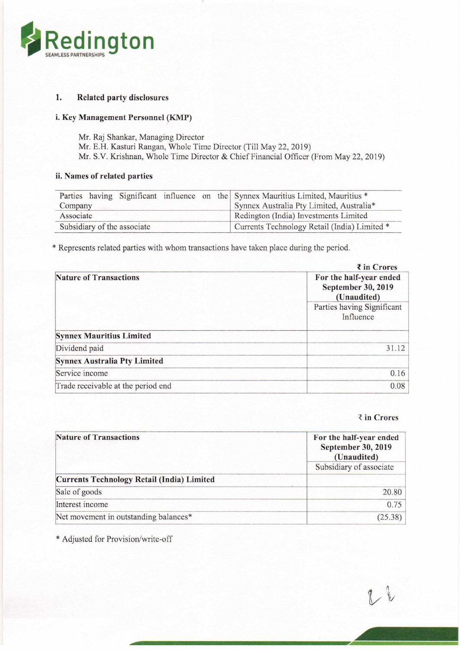

## 1. Related party disclosures

### i. Key Management Personnel (KMP)

- Mr. Raj Shankar, Managing Director
- Mr. E.H. Kasturi Rangan, Whole Time Director (Till May 22, 2019)

## ii. Names of related parties

| Redington                                                                               |                                                                                      |
|-----------------------------------------------------------------------------------------|--------------------------------------------------------------------------------------|
|                                                                                         |                                                                                      |
| <b>MLESS PARTNERSHIP</b>                                                                |                                                                                      |
|                                                                                         |                                                                                      |
|                                                                                         |                                                                                      |
|                                                                                         |                                                                                      |
|                                                                                         |                                                                                      |
| <b>Related party disclosures</b><br>1.                                                  |                                                                                      |
|                                                                                         |                                                                                      |
| i. Key Management Personnel (KMP)                                                       |                                                                                      |
| Mr. Raj Shankar, Managing Director                                                      |                                                                                      |
| Mr. E.H. Kasturi Rangan, Whole Time Director (Till May 22, 2019)                        |                                                                                      |
|                                                                                         | Mr. S.V. Krishnan, Whole Time Director & Chief Financial Officer (From May 22, 2019) |
|                                                                                         |                                                                                      |
| ii. Names of related parties                                                            |                                                                                      |
|                                                                                         |                                                                                      |
| Parties having Significant influence<br>the<br>on                                       | Synnex Mauritius Limited, Mauritius *                                                |
| Company                                                                                 | Synnex Australia Pty Limited, Australia*                                             |
| Associate                                                                               | Redington (India) Investments Limited                                                |
|                                                                                         |                                                                                      |
| Subsidiary of the associate                                                             | Currents Technology Retail (India) Limited *                                         |
|                                                                                         |                                                                                      |
| * Represents related parties with whom transactions have taken place during the period. |                                                                                      |
|                                                                                         |                                                                                      |
|                                                                                         | ₹ in Crores                                                                          |

| Redington                                                                                                                              |                                                                                       |  |
|----------------------------------------------------------------------------------------------------------------------------------------|---------------------------------------------------------------------------------------|--|
|                                                                                                                                        |                                                                                       |  |
| <b>Related party disclosures</b><br>1.                                                                                                 |                                                                                       |  |
|                                                                                                                                        |                                                                                       |  |
| i. Key Management Personnel (KMP)                                                                                                      |                                                                                       |  |
| Mr. Raj Shankar, Managing Director<br>Mr. E.H. Kasturi Rangan, Whole Time Director (Till May 22, 2019)<br>ii. Names of related parties | Mr. S.V. Krishnan, Whole Time Director & Chief Financial Officer (From May 22, 2019)  |  |
| Parties having Significant influence<br>the<br>on                                                                                      | Synnex Mauritius Limited, Mauritius *                                                 |  |
| Company                                                                                                                                | Synnex Australia Pty Limited, Australia*                                              |  |
| Associate<br>Subsidiary of the associate                                                                                               | Redington (India) Investments Limited<br>Currents Technology Retail (India) Limited * |  |
|                                                                                                                                        |                                                                                       |  |
| * Represents related parties with whom transactions have taken place during the period.                                                |                                                                                       |  |
|                                                                                                                                        | ₹ in Crores                                                                           |  |
| <b>Nature of Transactions</b>                                                                                                          | For the half-year ended<br>September 30, 2019<br>(Unaudited)                          |  |
|                                                                                                                                        | Parties having Significant<br>Influence                                               |  |
| <b>Synnex Mauritius Limited</b>                                                                                                        |                                                                                       |  |
| Dividend paid                                                                                                                          | 31.12                                                                                 |  |
| <b>Synnex Australia Pty Limited</b>                                                                                                    |                                                                                       |  |
| Service income                                                                                                                         | 0.16                                                                                  |  |
| Trade receivable at the period end                                                                                                     |                                                                                       |  |
|                                                                                                                                        | 0.08                                                                                  |  |
|                                                                                                                                        | ₹ in Crores                                                                           |  |
| <b>Nature of Transactions</b>                                                                                                          | For the half-year ended<br>September 30, 2019<br>(Unaudited)                          |  |
|                                                                                                                                        | Subsidiary of associate                                                               |  |
| <b>Currents Technology Retail (India) Limited</b>                                                                                      |                                                                                       |  |
| Sale of goods                                                                                                                          | 20.80                                                                                 |  |
| Interest income<br>Net movement in outstanding balances*                                                                               | 0.75<br>(25.38)                                                                       |  |

#### ₹ in Crores

| Service income                                    | 0.16                                                         |
|---------------------------------------------------|--------------------------------------------------------------|
| Trade receivable at the period end                | 0.08                                                         |
|                                                   | ₹ in Crores                                                  |
| <b>Nature of Transactions</b>                     | For the half-year ended<br>September 30, 2019<br>(Unaudited) |
|                                                   | Subsidiary of associate                                      |
| <b>Currents Technology Retail (India) Limited</b> |                                                              |
| Sale of goods                                     | 20.80                                                        |
| Interest income                                   | 0.75                                                         |
| Net movement in outstanding balances*             | (25.38)                                                      |
| * Adjusted for Provision/write-off                |                                                              |
|                                                   |                                                              |
|                                                   |                                                              |
|                                                   |                                                              |